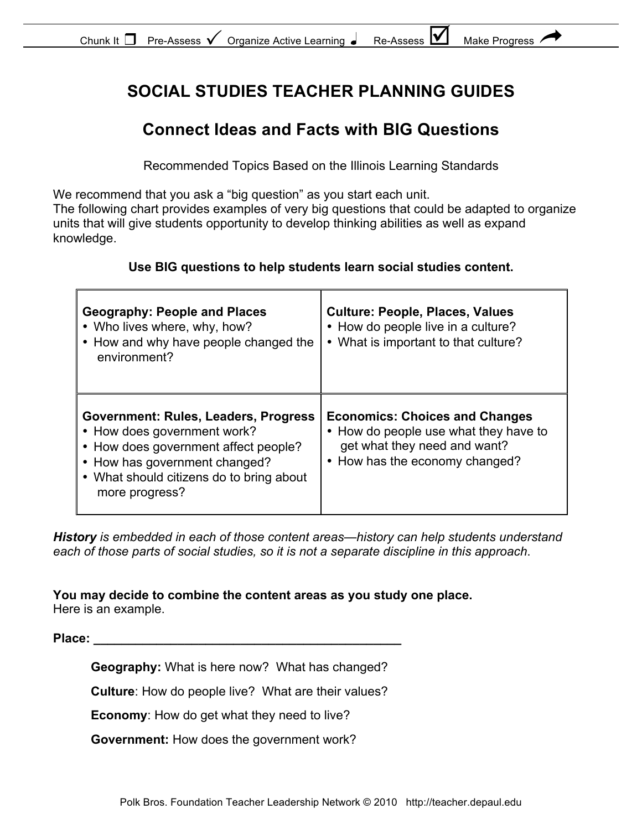| Chunk It $\Box$ Pre-Assess $\checkmark$ |  | Organize Active Learning ● |  | Re-Assess L | Make Progress |  |
|-----------------------------------------|--|----------------------------|--|-------------|---------------|--|
|-----------------------------------------|--|----------------------------|--|-------------|---------------|--|

### **SOCIAL STUDIES TEACHER PLANNING GUIDES**

### **Connect Ideas and Facts with BIG Questions**

Recommended Topics Based on the Illinois Learning Standards

We recommend that you ask a "big question" as you start each unit.

The following chart provides examples of very big questions that could be adapted to organize units that will give students opportunity to develop thinking abilities as well as expand knowledge.

#### **Use BIG questions to help students learn social studies content.**

| <b>Geography: People and Places</b><br>• Who lives where, why, how?<br>• How and why have people changed the<br>environment?                                                                               | <b>Culture: People, Places, Values</b><br>• How do people live in a culture?<br>• What is important to that culture?                             |
|------------------------------------------------------------------------------------------------------------------------------------------------------------------------------------------------------------|--------------------------------------------------------------------------------------------------------------------------------------------------|
| Government: Rules, Leaders, Progress<br>• How does government work?<br>• How does government affect people?<br>• How has government changed?<br>• What should citizens do to bring about<br>more progress? | <b>Economics: Choices and Changes</b><br>• How do people use what they have to<br>get what they need and want?<br>• How has the economy changed? |

*History is embedded in each of those content areas—history can help students understand each of those parts of social studies, so it is not a separate discipline in this approach*.

#### **You may decide to combine the content areas as you study one place.**

Here is an example.

**Place:** 

**Geography:** What is here now? What has changed?

**Culture**: How do people live? What are their values?

**Economy**: How do get what they need to live?

**Government:** How does the government work?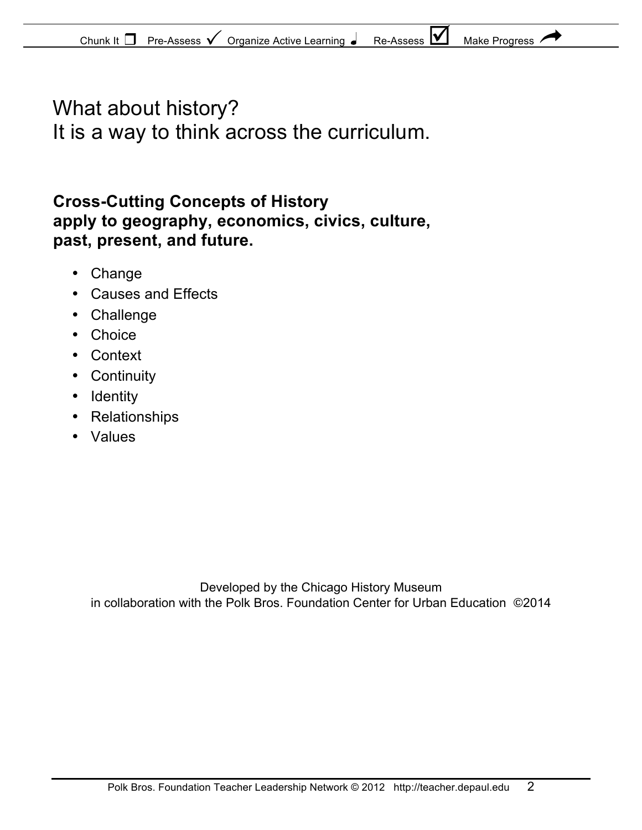# What about history? It is a way to think across the curriculum.

### **Cross-Cutting Concepts of History apply to geography, economics, civics, culture, past, present, and future.**

- Change
- Causes and Effects
- Challenge
- Choice
- Context
- Continuity
- Identity
- Relationships
- Values

Developed by the Chicago History Museum in collaboration with the Polk Bros. Foundation Center for Urban Education ©2014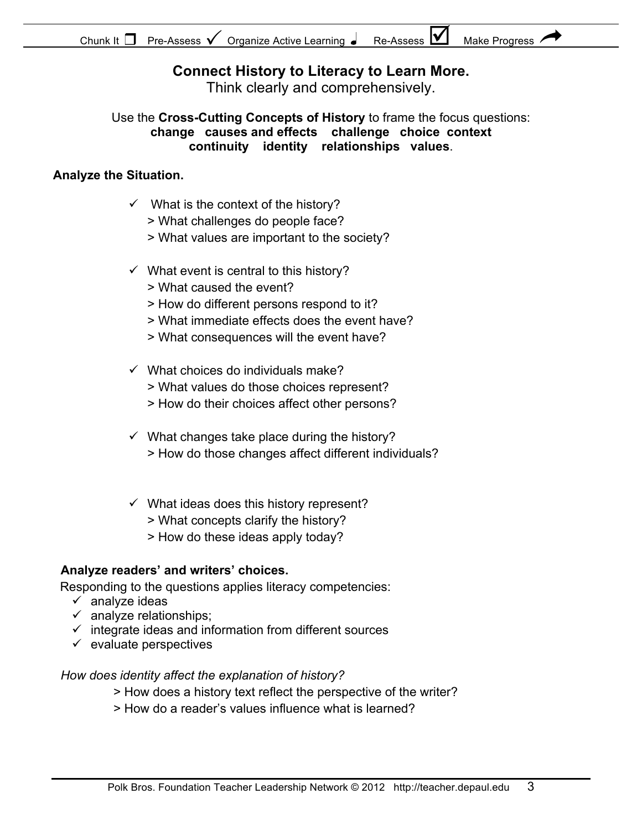### **Connect History to Literacy to Learn More.**

Think clearly and comprehensively.

Use the **Cross-Cutting Concepts of History** to frame the focus questions: **change causes and effects challenge choice context continuity identity relationships values**.

#### **Analyze the Situation.**

- $\checkmark$  What is the context of the history?
	- > What challenges do people face?
	- > What values are important to the society?
- $\checkmark$  What event is central to this history?
	- > What caused the event?
	- > How do different persons respond to it?
	- > What immediate effects does the event have?
	- > What consequences will the event have?
- $\checkmark$  What choices do individuals make?
	- > What values do those choices represent?
	- > How do their choices affect other persons?
- $\checkmark$  What changes take place during the history? > How do those changes affect different individuals?
- $\checkmark$  What ideas does this history represent?
	- > What concepts clarify the history?
	- > How do these ideas apply today?

#### **Analyze readers' and writers' choices.**

Responding to the questions applies literacy competencies:

- $\checkmark$  analyze ideas
- $\checkmark$  analyze relationships;
- $\checkmark$  integrate ideas and information from different sources
- $\checkmark$  evaluate perspectives

#### *How does identity affect the explanation of history?*

- > How does a history text reflect the perspective of the writer?
- > How do a reader's values influence what is learned?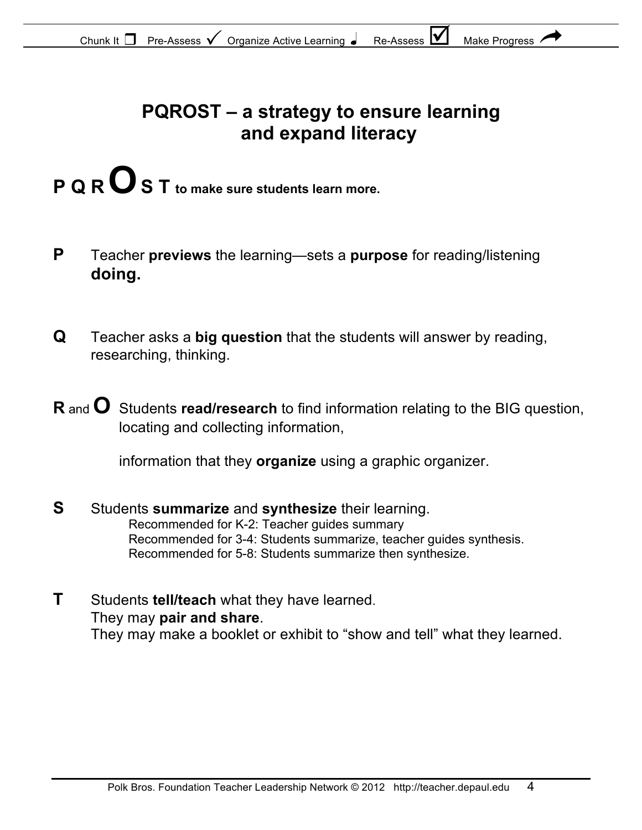# **PQROST – a strategy to ensure learning and expand literacy**

- **P Q R O S T** to make sure students learn more.
- **P** Teacher **previews** the learning—sets a **purpose** for reading/listening **doing.**
- **Q** Teacher asks a **big question** that the students will answer by reading, researching, thinking.
- **R** and **O** Students **read/research** to find information relating to the BIG question, locating and collecting information,

information that they **organize** using a graphic organizer.

- **S** Students **summarize** and **synthesize** their learning. Recommended for K-2: Teacher guides summary Recommended for 3-4: Students summarize, teacher guides synthesis. Recommended for 5-8: Students summarize then synthesize.
- **T** Students **tell/teach** what they have learned. They may **pair and share**. They may make a booklet or exhibit to "show and tell" what they learned.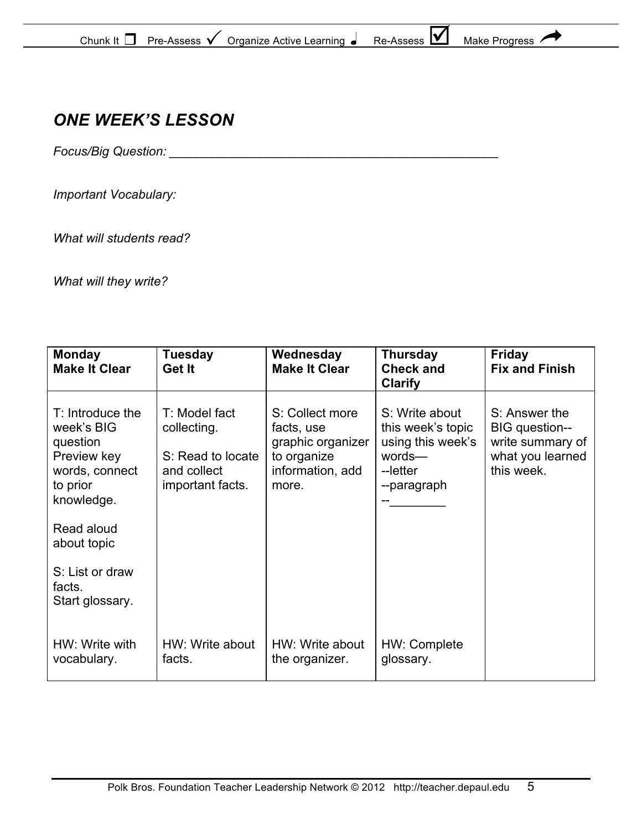| M<br>Chunk It<br><b>Make Progress</b><br>Organize Active Learning<br>Pre-Assess<br>Re-Assess |  |
|----------------------------------------------------------------------------------------------|--|
|----------------------------------------------------------------------------------------------|--|

### *ONE WEEK'S LESSON*

*Focus/Big Question: \_\_\_\_\_\_\_\_\_\_\_\_\_\_\_\_\_\_\_\_\_\_\_\_\_\_\_\_\_\_\_\_\_\_\_\_\_\_\_\_\_\_\_\_\_\_\_*

*Important Vocabulary:* 

*What will students read?*

*What will they write?*

| <b>Monday</b><br><b>Make It Clear</b>                                                                 | <b>Tuesday</b><br>Get It                                                             | Wednesday<br><b>Make It Clear</b>                                                              | <b>Thursday</b><br><b>Check and</b><br><b>Clarify</b>                                         | <b>Friday</b><br><b>Fix and Finish</b>                                                |
|-------------------------------------------------------------------------------------------------------|--------------------------------------------------------------------------------------|------------------------------------------------------------------------------------------------|-----------------------------------------------------------------------------------------------|---------------------------------------------------------------------------------------|
| T: Introduce the<br>week's BIG<br>question<br>Preview key<br>words, connect<br>to prior<br>knowledge. | T: Model fact<br>collecting.<br>S: Read to locate<br>and collect<br>important facts. | S: Collect more<br>facts, use<br>graphic organizer<br>to organize<br>information, add<br>more. | S: Write about<br>this week's topic<br>using this week's<br>words-<br>--letter<br>--paragraph | S: Answer the<br>BIG question--<br>write summary of<br>what you learned<br>this week. |
| Read aloud<br>about topic                                                                             |                                                                                      |                                                                                                |                                                                                               |                                                                                       |
| S: List or draw<br>facts.<br>Start glossary.                                                          |                                                                                      |                                                                                                |                                                                                               |                                                                                       |
| HW: Write with<br>vocabulary.                                                                         | HW: Write about<br>facts.                                                            | HW: Write about<br>the organizer.                                                              | HW: Complete<br>glossary.                                                                     |                                                                                       |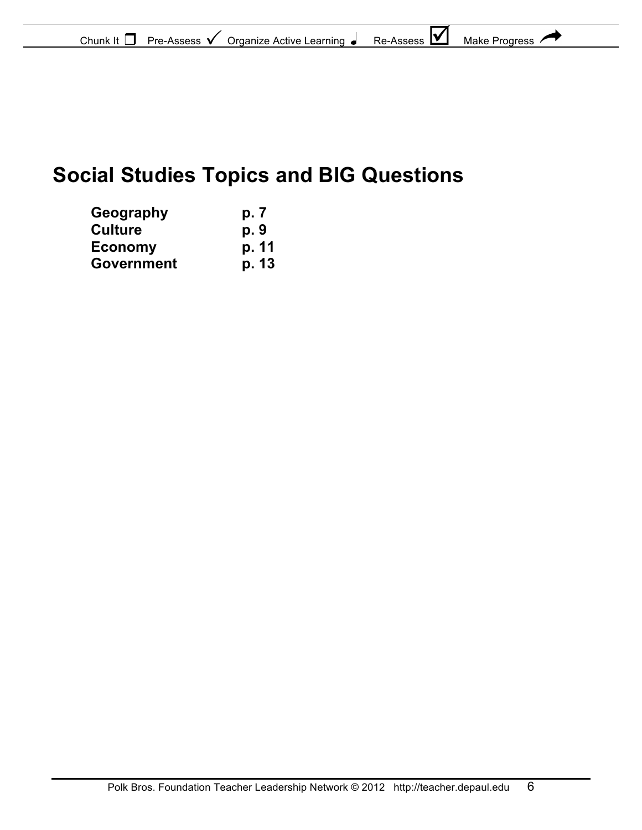| Chunk It<br>Pre-Assess | Organize Active Learning | <b>IV</b><br>Re-Assess | Make Progress |  |
|------------------------|--------------------------|------------------------|---------------|--|
|------------------------|--------------------------|------------------------|---------------|--|

# **Social Studies Topics and BIG Questions**

| Geography      | p. 7  |
|----------------|-------|
| Culture        | p. 9  |
| <b>Economy</b> | p. 11 |
| Government     | p. 13 |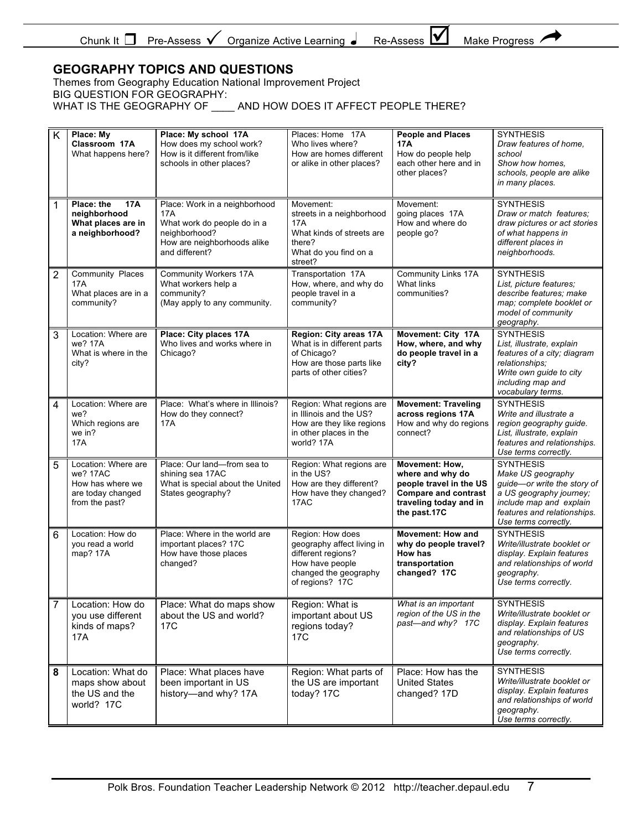| Chunk It<br>Pre-Assess | Organize Active Learning ● | I٧<br>Re-Assess | <b>Make Progress</b> |
|------------------------|----------------------------|-----------------|----------------------|
|                        |                            |                 |                      |

Ŧ ₹

#### **GEOGRAPHY TOPICS AND QUESTIONS**

Themes from Geography Education National Improvement Project BIG QUESTION FOR GEOGRAPHY: WHAT IS THE GEOGRAPHY OF \_\_\_\_ AND HOW DOES IT AFFECT PEOPLE THERE?

| K | Place: My<br>Classroom 17A<br>What happens here?                                           | Place: My school 17A<br>How does my school work?<br>How is it different from/like<br>schools in other places?                         | Places: Home 17A<br>Who lives where?<br>How are homes different<br>or alike in other places?                                        | <b>People and Places</b><br>17A<br>How do people help<br>each other here and in<br>other places?                                       | <b>SYNTHESIS</b><br>Draw features of home,<br>school<br>Show how homes.<br>schools, people are alike<br>in many places.                                                           |
|---|--------------------------------------------------------------------------------------------|---------------------------------------------------------------------------------------------------------------------------------------|-------------------------------------------------------------------------------------------------------------------------------------|----------------------------------------------------------------------------------------------------------------------------------------|-----------------------------------------------------------------------------------------------------------------------------------------------------------------------------------|
| 1 | Place: the<br><b>17A</b><br>neighborhood<br>What places are in<br>a neighborhood?          | Place: Work in a neighborhood<br>17A<br>What work do people do in a<br>neighborhood?<br>How are neighborhoods alike<br>and different? | Movement:<br>streets in a neighborhood<br>17A<br>What kinds of streets are<br>there?<br>What do you find on a<br>street?            | Movement:<br>going places 17A<br>How and where do<br>people go?                                                                        | <b>SYNTHESIS</b><br>Draw or match features:<br>draw pictures or act stories<br>of what happens in<br>different places in<br>neighborhoods.                                        |
| 2 | Community Places<br>17A<br>What places are in a<br>community?                              | <b>Community Workers 17A</b><br>What workers help a<br>community?<br>(May apply to any community.                                     | Transportation 17A<br>How, where, and why do<br>people travel in a<br>community?                                                    | <b>Community Links 17A</b><br>What links<br>communities?                                                                               | <b>SYNTHESIS</b><br>List, picture features;<br>describe features; make<br>map; complete booklet or<br>model of community<br>geography.                                            |
| 3 | Location: Where are<br>we? 17A<br>What is where in the<br>city?                            | Place: City places 17A<br>Who lives and works where in<br>Chicago?                                                                    | Region: City areas 17A<br>What is in different parts<br>of Chicago?<br>How are those parts like<br>parts of other cities?           | Movement: City 17A<br>How, where, and why<br>do people travel in a<br>city?                                                            | <b>SYNTHESIS</b><br>List, illustrate, explain<br>features of a city; diagram<br>relationships;<br>Write own guide to city<br>including map and<br>vocabulary terms.               |
| 4 | Location: Where are<br>we?<br>Which regions are<br>we in?<br>17A                           | Place: What's where in Illinois?<br>How do they connect?<br>17A                                                                       | Region: What regions are<br>in Illinois and the US?<br>How are they like regions<br>in other places in the<br>world? 17A            | <b>Movement: Traveling</b><br>across regions 17A<br>How and why do regions<br>connect?                                                 | <b>SYNTHESIS</b><br>Write and illustrate a<br>region geography guide.<br>List, illustrate, explain<br>features and relationships.<br>Use terms correctly.                         |
| 5 | Location: Where are<br>we? 17AC<br>How has where we<br>are today changed<br>from the past? | Place: Our land-from sea to<br>shining sea 17AC<br>What is special about the United<br>States geography?                              | Region: What regions are<br>in the US?<br>How are they different?<br>How have they changed?<br>17AC                                 | Movement: How,<br>where and why do<br>people travel in the US<br><b>Compare and contrast</b><br>traveling today and in<br>the past.17C | <b>SYNTHESIS</b><br>Make US geography<br>guide-or write the story of<br>a US geography journey;<br>include map and explain<br>features and relationships.<br>Use terms correctly. |
| 6 | Location: How do<br>you read a world<br>map? 17A                                           | Place: Where in the world are<br>important places? 17C<br>How have those places<br>changed?                                           | Region: How does<br>geography affect living in<br>different regions?<br>How have people<br>changed the geography<br>of regions? 17C | <b>Movement: How and</b><br>why do people travel?<br>How has<br>transportation<br>changed? 17C                                         | <b>SYNTHESIS</b><br>Write/illustrate booklet or<br>display. Explain features<br>and relationships of world<br>geography.<br>Use terms correctly.                                  |
| 7 | Location: How do<br>you use different<br>kinds of maps?<br>17A                             | Place: What do maps show<br>about the US and world?<br>17C                                                                            | Region: What is<br>important about US<br>regions today?<br>17 <sub>C</sub>                                                          | What is an important<br>region of the US in the<br>past—and why? 17C                                                                   | <b>SYNTHESIS</b><br>Write/illustrate booklet or<br>display. Explain features<br>and relationships of US<br>geography.<br>Use terms correctly.                                     |
| 8 | Location: What do<br>maps show about<br>the US and the<br>world? 17C                       | Place: What places have<br>been important in US<br>history-and why? 17A                                                               | Region: What parts of<br>the US are important<br>today? 17C                                                                         | Place: How has the<br><b>United States</b><br>changed? 17D                                                                             | <b>SYNTHESIS</b><br>Write/illustrate booklet or<br>display. Explain features<br>and relationships of world<br>geography.<br>Use terms correctly.                                  |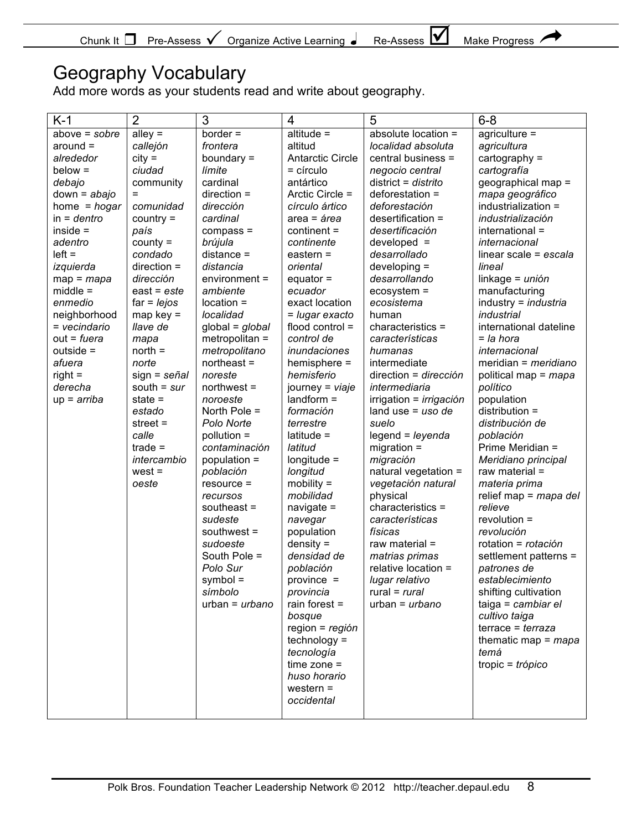| Chunk<br>Pre-Assess<br>Organize<br>Learning<br>Active<br>. . | IV<br>⊃∼<br>Assess | Make<br>Progress |
|--------------------------------------------------------------|--------------------|------------------|
|--------------------------------------------------------------|--------------------|------------------|

### Geography Vocabulary

Add more words as your students read and write about geography.

| $K-1$           | $\overline{2}$ | 3                 | $\overline{4}$          | 5                              | $6 - 8$                 |
|-----------------|----------------|-------------------|-------------------------|--------------------------------|-------------------------|
| $above = sobre$ | alley $=$      | $border =$        | $alitude =$             | absolute location =            | $agriculture =$         |
| $around =$      | callejón       | frontera          | altitud                 | localidad absoluta             | agricultura             |
| alrededor       | $city =$       | boundary $=$      | <b>Antarctic Circle</b> | central business =             | cartography $=$         |
| $below =$       | ciudad         | límite            | $=$ círculo             | negocio central                | cartografía             |
| debajo          | community      | cardinal          | antártico               | $district = distrito$          | geographical map =      |
| $down = abajo$  | =              | $direction =$     | Arctic Circle =         | $deforestation =$              | mapa geográfico         |
| home = $hogar$  | comunidad      | dirección         | círculo ártico          | deforestación                  | industrialization =     |
| $in =$ dentro   | $country =$    | cardinal          | $area = area$           | desertification =              | industrialización       |
| $inside =$      | país           | $compass =$       | $content =$             | desertificación                | international =         |
| adentro         | $county =$     | brújula           | continente              | $developed =$                  | internacional           |
| $left =$        | condado        | $distance =$      | eastern $=$             | desarrollado                   | linear scale = $escala$ |
| izquierda       | $direction =$  | distancia         | oriental                | $developing =$                 | lineal                  |
| $map = map$     | dirección      | $environment =$   | equator $=$             | desarrollando                  | $linkage = unión$       |
| $middle =$      | $east = este$  | ambiente          | ecuador                 | $ecosystem =$                  | manufacturing           |
| enmedio         | $far = lejos$  | location =        | exact location          | ecosistema                     | industry = industria    |
| neighborhood    | $map key =$    | localidad         | = lugar exacto          | human                          | industrial              |
| = vecindario    | llave de       | $global = global$ | flood control $=$       | characteristics =              | international dateline  |
| out = fuera     | mapa           | metropolitan =    | control de              | características                | = la hora               |
| outside =       | $north =$      | metropolitano     | inundaciones            | humanas                        | <i>internacional</i>    |
| afuera          | norte          | $northeast =$     | hemisphere =            | intermediate                   | meridian = $meridiano$  |
| $right =$       | $sign =$ señal | noreste           | hemisferio              | direction = dirección          | political map = mapa    |
| derecha         | south = $sur$  | $northwest =$     | journey = viaje         | intermediaria                  | político                |
| $up = arriba$   | state $=$      | noroeste          | $landform =$            | irrigation = <i>irrigación</i> | population              |
|                 | estado         | North Pole $=$    | formación               | land use = $uso$ de            | distribution =          |
|                 | street $=$     | Polo Norte        | terrestre               | suelo                          | distribución de         |
|                 | calle          | pollution =       | $lattice =$             | $legend = leyenda$             | población               |
|                 | $trade =$      | contaminación     | latitud                 | $migration =$                  | Prime Meridian =        |
|                 | intercambio    | population =      | $longitude =$           | migración                      | Meridiano principal     |
|                 | $west =$       | población         | longitud                | natural vegetation =           | raw material $=$        |
|                 | oeste          | $resource =$      | $mobility =$            | vegetación natural             | materia prima           |
|                 |                | recursos          | mobilidad               | physical                       | relief map = $map$ del  |
|                 |                | southeast $=$     | navigate $=$            | characteristics =              | relieve                 |
|                 |                | sudeste           | navegar                 | características                | $revolution =$          |
|                 |                | southwest $=$     | population              | físicas                        | revolución              |
|                 |                | sudoeste          | $density =$             | raw material =                 | rotation = rotación     |
|                 |                | South Pole =      | densidad de             | matrias primas                 | settlement patterns =   |
|                 |                | Polo Sur          | población               | relative location =            | patrones de             |
|                 |                | symbol =          | province =              | lugar relativo                 | establecimiento         |
|                 |                | símbolo           | provincia               | rural = $rural$                | shifting cultivation    |
|                 |                | $urban = urbano$  | rain forest $=$         | $urban = urbano$               | taiga = cambiar el      |
|                 |                |                   | bosque                  |                                | cultivo taiga           |
|                 |                |                   | region = $region$       |                                | $terrace = terraza$     |
|                 |                |                   | $technology =$          |                                | thematic map = $mapa$   |
|                 |                |                   | tecnología              |                                | temá                    |
|                 |                |                   | $time zone =$           |                                | tropic = $trópico$      |
|                 |                |                   | huso horario            |                                |                         |
|                 |                |                   | western $=$             |                                |                         |
|                 |                |                   | occidental              |                                |                         |
|                 |                |                   |                         |                                |                         |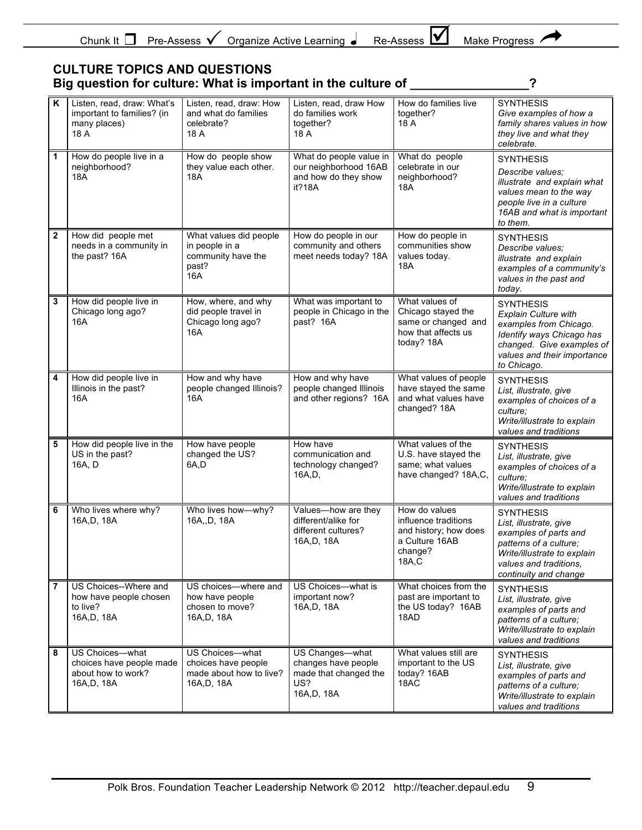|  | Chunk:<br>Pre-Assess | Organize Active Learning | ıм<br>-<br>Re<br>-Assess | Make<br><b>Progress</b> |
|--|----------------------|--------------------------|--------------------------|-------------------------|
|--|----------------------|--------------------------|--------------------------|-------------------------|

#### **CULTURE TOPICS AND QUESTIONS Big question for culture: What is important in the culture of \_\_\_\_\_\_\_\_\_\_\_\_\_\_\_\_\_?**

 $\overline{\phantom{a}}$ Ŧ

| K              | Listen, read, draw: What's<br>important to families? (in<br>many places)<br>18 A | Listen, read, draw: How<br>and what do families<br>celebrate?<br>18 A           | Listen, read, draw How<br>do families work<br>together?<br>18 A                      | How do families live<br>together?<br>18 A                                                            | <b>SYNTHESIS</b><br>Give examples of how a<br>family shares values in how<br>they live and what they<br>celebrate.                                                                |
|----------------|----------------------------------------------------------------------------------|---------------------------------------------------------------------------------|--------------------------------------------------------------------------------------|------------------------------------------------------------------------------------------------------|-----------------------------------------------------------------------------------------------------------------------------------------------------------------------------------|
| 1              | How do people live in a<br>neighborhood?<br><b>18A</b>                           | How do people show<br>they value each other.<br><b>18A</b>                      | What do people value in<br>our neighborhood 16AB<br>and how do they show<br>it?18A   | What do people<br>celebrate in our<br>neighborhood?<br>18A                                           | <b>SYNTHESIS</b><br>Describe values:<br>illustrate and explain what<br>values mean to the way<br>people live in a culture<br>16AB and what is important<br>to them.               |
| $\mathbf{2}$   | How did people met<br>needs in a community in<br>the past? 16A                   | What values did people<br>in people in a<br>community have the<br>past?<br>16A  | How do people in our<br>community and others<br>meet needs today? 18A                | How do people in<br>communities show<br>values today.<br>18A                                         | <b>SYNTHESIS</b><br>Describe values;<br>illustrate and explain<br>examples of a community's<br>values in the past and<br>today.                                                   |
| 3              | How did people live in<br>Chicago long ago?<br>16A                               | How, where, and why<br>did people travel in<br>Chicago long ago?<br>16A         | What was important to<br>people in Chicago in the<br>past? 16A                       | What values of<br>Chicago stayed the<br>same or changed and<br>how that affects us<br>today? 18A     | <b>SYNTHESIS</b><br><b>Explain Culture with</b><br>examples from Chicago.<br>Identify ways Chicago has<br>changed. Give examples of<br>values and their importance<br>to Chicago. |
| 4              | How did people live in<br>Illinois in the past?<br>16A                           | How and why have<br>people changed Illinois?<br>16A                             | How and why have<br>people changed Illinois<br>and other regions? 16A                | What values of people<br>have stayed the same<br>and what values have<br>changed? 18A                | <b>SYNTHESIS</b><br>List, illustrate, give<br>examples of choices of a<br>culture:<br>Write/illustrate to explain<br>values and traditions                                        |
| 5              | How did people live in the<br>US in the past?<br>16A, D                          | How have people<br>changed the US?<br>6A,D                                      | How have<br>communication and<br>technology changed?<br>16A,D,                       | What values of the<br>U.S. have stayed the<br>same; what values<br>have changed? 18A,C,              | <b>SYNTHESIS</b><br>List, illustrate, give<br>examples of choices of a<br>culture:<br>Write/illustrate to explain<br>values and traditions                                        |
| 6              | Who lives where why?<br>16A, D, 18A                                              | Who lives how-why?<br>16A,,D, 18A                                               | Values-how are they<br>different/alike for<br>different cultures?<br>16A,D, 18A      | How do values<br>influence traditions<br>and history; how does<br>a Culture 16AB<br>change?<br>18A,C | <b>SYNTHESIS</b><br>List, illustrate, give<br>examples of parts and<br>patterns of a culture;<br>Write/illustrate to explain<br>values and traditions,<br>continuity and change   |
| $\overline{7}$ | US Choices--Where and<br>how have people chosen<br>to live?<br>16A, D, 18A       | US choices-where and<br>how have people<br>chosen to move?<br>16A,D, 18A        | US Choices-what is<br>important now?<br>16A,D, 18A                                   | What choices from the<br>past are important to<br>the US today? 16AB<br>18AD                         | <b>SYNTHESIS</b><br>List, illustrate, give<br>examples of parts and<br>patterns of a culture;<br>Write/illustrate to explain<br>values and traditions                             |
| 8              | US Choices-what<br>choices have people made<br>about how to work?<br>16A, D, 18A | US Choices-what<br>choices have people<br>made about how to live?<br>16A,D, 18A | US Changes-what<br>changes have people<br>made that changed the<br>US?<br>16A,D, 18A | What values still are<br>important to the US<br>today? 16AB<br>18AC                                  | <b>SYNTHESIS</b><br>List, illustrate, give<br>examples of parts and<br>patterns of a culture;<br>Write/illustrate to explain<br>values and traditions                             |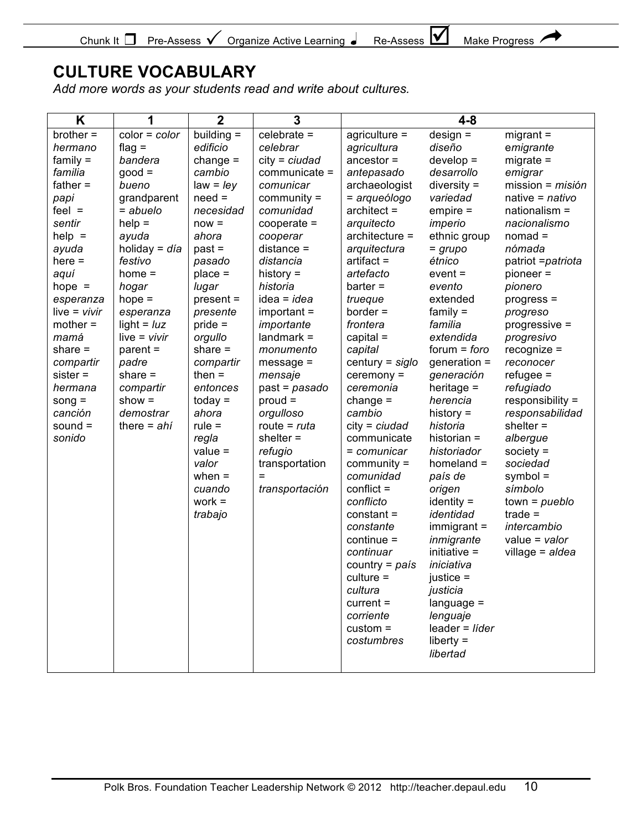| Pre-Assess $\mathsf{V}$<br>Chunk It<br>Organize Active Learning | 194<br>Make .<br>Re-Assess<br><b>Progress</b> |  |
|-----------------------------------------------------------------|-----------------------------------------------|--|
|-----------------------------------------------------------------|-----------------------------------------------|--|

 $\overline{\phantom{0}}$ Ŧ

### **CULTURE VOCABULARY**

*Add more words as your students read and write about cultures.*

| building $=$<br>$celebrate =$<br>$design =$<br>$brother =$<br>$color = color$<br>$migrant =$<br>$agriculture =$<br>edificio<br>diseño<br>flag $=$<br>celebrar<br>agricultura<br>emigrante<br>hermano<br>$family =$<br>bandera<br>change $=$<br>$city = ciudad$<br>$ancestor =$<br>$develop =$<br>$migrate =$<br>$good =$<br>familia<br>cambio<br>communicate =<br>desarrollo<br>antepasado<br>emigrar<br>father $=$<br>bueno<br>$law = ley$<br>archaeologist<br>$diversity =$<br>comunicar<br>$need =$<br>$community =$<br>variedad<br>grandparent<br>= arqueólogo<br>native = $n$ ativo<br>papi<br>$feel =$<br>$=$ abuelo<br>comunidad<br>$architect =$<br>$empire =$<br>nationalism =<br>necesidad<br>$help =$<br>sentir<br>imperio<br>nacionalismo<br>$now =$<br>$cooperate =$<br>arquitecto<br>$nomad =$<br>$help =$<br>$architecture =$<br>ethnic group<br>ayuda<br>ahora<br>cooperar<br>holiday = $dia$<br>$past =$<br>$distance =$<br>nómada<br>ayuda<br>arquitectura<br>= grupo<br>$here =$<br>festivo<br>distancia<br>$artifact =$<br>étnico<br>pasado<br>history $=$<br>artefacto<br>aquí<br>home $=$<br>$place =$<br>$event =$<br>pioneer =<br>$bar =$<br>hope $=$<br>hogar<br>lugar<br>historia<br>evento<br>pionero<br>$idea = idea$<br>extended<br>$hope =$<br>$present =$<br>trueque<br>esperanza<br>$progress =$<br>$family =$<br>$border =$<br>$live = vivir$<br>$import =$<br>esperanza<br>presente<br>progreso<br>light = $luz$<br>$price =$<br>frontera<br>familia<br>$mother =$<br>importante<br>progressive =<br>$live = vivir$<br>orgullo<br>$landmark =$<br>$capital =$<br>extendida<br>mamá<br>progresivo<br>share $=$<br>share $=$<br>$forum = foro$<br>$parent =$<br>monumento<br>capital<br>$recognize =$<br>compartir<br>padre<br>compartir<br>$message =$<br>$century = siglo$<br>generation $=$<br>reconocer<br>$sister =$<br>then $=$<br>share $=$<br>mensaje<br>$c$ eremony =<br>generación<br>$refuge =$<br>heritage $=$<br>refugiado<br>hermana<br>compartir<br>entonces<br>ceremonia<br>$past = pasado$<br>show $=$<br>$today =$<br>change $=$<br>herencia<br>responsibility =<br>$prod =$<br>song $=$<br>demostrar<br>ahora<br>cambio<br>history $=$<br>canción<br>orgulloso<br>sound $=$<br>there = $ahi$<br>$rule =$<br>$city = ciudad$<br>historia<br>shelter $=$<br>route = $ruta$<br>sonido<br>regla<br>shelter $=$<br>communicate<br>historian $=$<br>albergue<br>$value =$<br>refugio<br>historiador<br>society $=$<br>$=$ comunicar | K | 1 | $\overline{2}$ | 3              |               | $4 - 8$      |                                                                       |
|----------------------------------------------------------------------------------------------------------------------------------------------------------------------------------------------------------------------------------------------------------------------------------------------------------------------------------------------------------------------------------------------------------------------------------------------------------------------------------------------------------------------------------------------------------------------------------------------------------------------------------------------------------------------------------------------------------------------------------------------------------------------------------------------------------------------------------------------------------------------------------------------------------------------------------------------------------------------------------------------------------------------------------------------------------------------------------------------------------------------------------------------------------------------------------------------------------------------------------------------------------------------------------------------------------------------------------------------------------------------------------------------------------------------------------------------------------------------------------------------------------------------------------------------------------------------------------------------------------------------------------------------------------------------------------------------------------------------------------------------------------------------------------------------------------------------------------------------------------------------------------------------------------------------------------------------------------------------------------------------------------------------------------------------------------------------------------------------------------------------------------------------------------------------------------------------------------------------------------------------------------------------------------------------------------------------------------------------------------------------------------------------------------------------------------------------------------------------------------|---|---|----------------|----------------|---------------|--------------|-----------------------------------------------------------------------|
| when $=$<br>comunidad<br>$symbol =$<br>país de<br>=<br>transportación<br>$conflict =$<br>símbolo<br>cuando<br>origen<br>$work =$<br>conflicto<br>$identity =$<br>$town = pueblo$<br>identidad<br>$trade =$<br>trabajo<br>$constant =$<br>$immigrant =$<br>constante<br>intercambio<br>$continue =$<br>inmigrante<br>value = $value$<br>initiative $=$<br>continuar<br>village = aldea<br>iniciativa<br>country = $pais$<br>$culture =$<br>justice $=$<br>cultura<br>justicia                                                                                                                                                                                                                                                                                                                                                                                                                                                                                                                                                                                                                                                                                                                                                                                                                                                                                                                                                                                                                                                                                                                                                                                                                                                                                                                                                                                                                                                                                                                                                                                                                                                                                                                                                                                                                                                                                                                                                                                                     |   |   | valor          | transportation | $community =$ | $homeland =$ | mission = misión<br>patriot = patriota<br>responsabilidad<br>sociedad |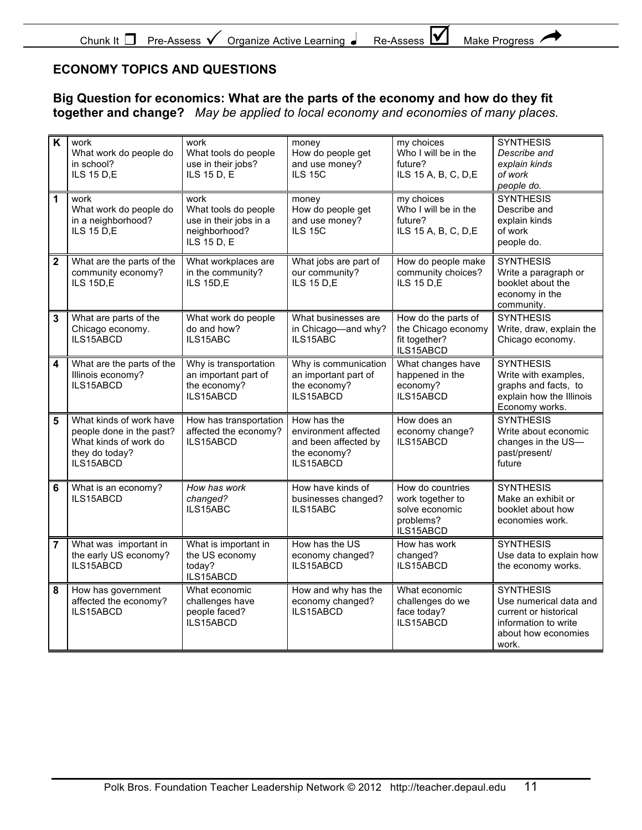### **ECONOMY TOPICS AND QUESTIONS**

**Big Question for economics: What are the parts of the economy and how do they fit together and change?** *May be applied to local economy and economies of many places.*

| K              | work<br>What work do people do<br>in school?<br><b>ILS 15 D,E</b>                                           | work<br>What tools do people<br>use in their jobs?<br>ILS 15 D, E                      | money<br>How do people get<br>and use money?<br><b>ILS 15C</b>                           | my choices<br>Who I will be in the<br>future?<br>ILS 15 A, B, C, D, E            | <b>SYNTHESIS</b><br>Describe and<br>explain kinds<br>of work<br>people do.                                                  |
|----------------|-------------------------------------------------------------------------------------------------------------|----------------------------------------------------------------------------------------|------------------------------------------------------------------------------------------|----------------------------------------------------------------------------------|-----------------------------------------------------------------------------------------------------------------------------|
| 1              | work<br>What work do people do<br>in a neighborhood?<br><b>ILS 15 D,E</b>                                   | work<br>What tools do people<br>use in their jobs in a<br>neighborhood?<br>ILS 15 D, E | money<br>How do people get<br>and use money?<br><b>ILS 15C</b>                           | my choices<br>Who I will be in the<br>future?<br>ILS 15 A, B, C, D, E            | <b>SYNTHESIS</b><br>Describe and<br>explain kinds<br>of work<br>people do.                                                  |
| $\mathbf{2}$   | What are the parts of the<br>community economy?<br>ILS 15D,E                                                | What workplaces are<br>in the community?<br>ILS 15D,E                                  | What jobs are part of<br>our community?<br><b>ILS 15 D,E</b>                             | How do people make<br>community choices?<br><b>ILS 15 D.E</b>                    | <b>SYNTHESIS</b><br>Write a paragraph or<br>booklet about the<br>economy in the<br>community.                               |
| 3              | What are parts of the<br>Chicago economy.<br>ILS15ABCD                                                      | What work do people<br>do and how?<br>ILS15ABC                                         | What businesses are<br>in Chicago-and why?<br>ILS15ABC                                   | How do the parts of<br>the Chicago economy<br>fit together?<br>ILS15ABCD         | <b>SYNTHESIS</b><br>Write, draw, explain the<br>Chicago economy.                                                            |
| 4              | What are the parts of the<br>Illinois economy?<br>ILS15ABCD                                                 | Why is transportation<br>an important part of<br>the economy?<br>ILS15ABCD             | Why is communication<br>an important part of<br>the economy?<br>ILS15ABCD                | What changes have<br>happened in the<br>economy?<br>ILS15ABCD                    | <b>SYNTHESIS</b><br>Write with examples,<br>graphs and facts, to<br>explain how the Illinois<br>Economy works.              |
| 5              | What kinds of work have<br>people done in the past?<br>What kinds of work do<br>they do today?<br>ILS15ABCD | How has transportation<br>affected the economy?<br>ILS15ABCD                           | How has the<br>environment affected<br>and been affected by<br>the economy?<br>ILS15ABCD | How does an<br>economy change?<br>ILS15ABCD                                      | <b>SYNTHESIS</b><br>Write about economic<br>changes in the US-<br>past/present/<br>future                                   |
| 6              | What is an economy?<br>ILS15ABCD                                                                            | How has work<br>changed?<br>ILS15ABC                                                   | How have kinds of<br>businesses changed?<br>ILS15ABC                                     | How do countries<br>work together to<br>solve economic<br>problems?<br>ILS15ABCD | <b>SYNTHESIS</b><br>Make an exhibit or<br>booklet about how<br>economies work.                                              |
| $\overline{7}$ | What was important in<br>the early US economy?<br>ILS15ABCD                                                 | What is important in<br>the US economy<br>today?<br>ILS15ABCD                          | How has the US<br>economy changed?<br>ILS15ABCD                                          | How has work<br>changed?<br>ILS15ABCD                                            | <b>SYNTHESIS</b><br>Use data to explain how<br>the economy works.                                                           |
| 8              | How has government<br>affected the economy?<br>ILS15ABCD                                                    | What economic<br>challenges have<br>people faced?<br>ILS15ABCD                         | How and why has the<br>economy changed?<br>ILS15ABCD                                     | What economic<br>challenges do we<br>face today?<br>ILS15ABCD                    | <b>SYNTHESIS</b><br>Use numerical data and<br>current or historical<br>information to write<br>about how economies<br>work. |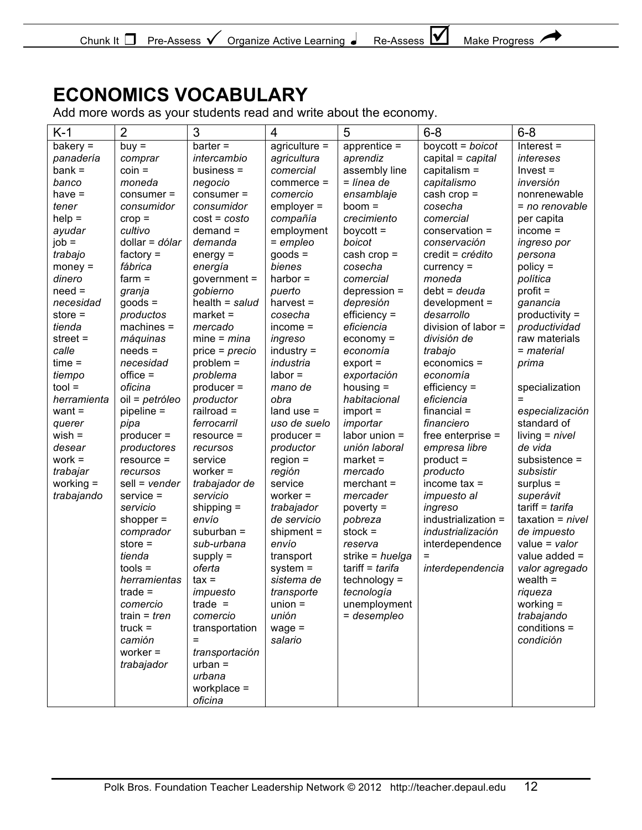

# **ECONOMICS VOCABULARY**

Add more words as your students read and write about the economy.

| $K-1$       | $\overline{2}$    | 3                | 4               | 5                     | $6 - 8$             | $6 - 8$            |
|-------------|-------------------|------------------|-----------------|-----------------------|---------------------|--------------------|
| bakery $=$  | $buy =$           | $bar =$          | $agriculture =$ | $ap$ rentice =        | boycott = $b$ oicot | $Interest =$       |
| panadería   | comprar           | intercambio      | agricultura     | aprendiz              | capital = capital   | intereses          |
| $bank =$    | $coin =$          | business $=$     | comercial       | assembly line         | capitalism $=$      | $Invest =$         |
| banco       | moneda            | negocio          | $commerce =$    | = línea de            | capitalismo         | inversión          |
| have $=$    | $consumer =$      | $consumer =$     | comercio        | ensamblaje            | cash $crop =$       | nonrenewable       |
| tener       | consumidor        | consumidor       | $emplayer =$    | $boom =$              | cosecha             | = no renovable     |
| $help =$    | $crop =$          | $cost = cost$    | compañía        | crecimiento           | comercial           | per capita         |
| ayudar      | cultivo           | $demand =$       | employment      | boycott $=$           | conservation =      | $income =$         |
| $job =$     | dollar = $d6$ lar | demanda          | $=$ empleo      | boicot                | conservación        | ingreso por        |
| trabajo     | factory $=$       | $energy =$       | $goods =$       | cash $crop =$         | credit = crédito    | persona            |
| $money =$   | fábrica           | energía          | bienes          | cosecha               | curve <sub>0</sub>  | $policy =$         |
| dinero      | $farm =$          | $government =$   | harbor $=$      | comercial             | moneda              | política           |
| $need =$    | granja            | gobierno         | puerto          | $depression =$        | $debt = deuda$      | $profit =$         |
| necesidad   | $goods =$         | $health = salud$ | harvest $=$     | depresión             | $development =$     | ganancia           |
| store $=$   | productos         | $market =$       | cosecha         | $efficiency =$        | desarrollo          | productivity =     |
| tienda      | $machines =$      | mercado          | $income =$      | eficiencia            | division of labor = | productividad      |
| street $=$  | máquinas          | mine = $mina$    | ingreso         | $e_{\text{conomy}} =$ | división de         | raw materials      |
| calle       | $needs =$         | $price = precio$ | $industry =$    | economía              | trabajo             | = material         |
| $time =$    | necesidad         | $problem =$      | industria       | $export =$            | economics =         | prima              |
| tiempo      | $of$ fice =       | problema         | $labor =$       | exportación           | economía            |                    |
| $tool =$    | oficina           | $product =$      | mano de         | housing $=$           | $efficiency =$      | specialization     |
| herramienta | oil = petróleo    | productor        | obra            | habitacional          | eficiencia          | $=$                |
| want $=$    | pipeline =        | railroad $=$     | land use $=$    | $import =$            | $f$ inancial =      | especialización    |
| querer      | pipa              | ferrocarril      | uso de suelo    | importar              | financiero          | standard of        |
| $wish =$    | $product =$       | $resource =$     | $product =$     | labor union $=$       | free enterprise $=$ | $living = nivel$   |
| desear      | productores       | recursos         | productor       | unión laboral         | empresa libre       | de vida            |
| $work =$    | $resource =$      | service          | $region =$      | $market =$            | $product =$         | subsistence =      |
| trabajar    | recursos          | worker $=$       | región          | mercado               | producto            | subsistir          |
| working $=$ | $sell = vender$   | trabajador de    | service         | $merchant =$          | income $tax =$      | $surplus =$        |
| trabajando  | $s$ ervice =      | servicio         | worker $=$      | mercader              | <i>impuesto al</i>  | superávit          |
|             | servicio          | shipping $=$     | trabajador      | $powery =$            | ingreso             | tariff = $t$ arifa |
|             | shopper $=$       | envío            | de servicio     | pobreza               | industrialization = | taxation = $nivel$ |
|             | comprador         | suburban $=$     | shipment $=$    | stock $=$             | industrialización   | de impuesto        |
|             | store $=$         | sub-urbana       | envío           | reserva               | interdependence     | value = $value$    |
|             | tienda            | $supply =$       | transport       | strike = $h$ uelga    | $=$                 | value added =      |
|             | $tools =$         | oferta           | $system =$      | tariff = tarifa       | interdependencia    | valor agregado     |
|             | herramientas      | $tax =$          | sistema de      | $technology =$        |                     | wealth $=$         |
|             | $trade =$         | impuesto         | transporte      | tecnología            |                     | riqueza            |
|             | comercio          | $trade =$        | $union =$       | unemployment          |                     | working $=$        |
|             | train = $tren$    | comercio         | unión           | = desempleo           |                     | trabajando         |
|             | $truck =$         | transportation   | $wage =$        |                       |                     | $conditions =$     |
|             | camión            | $=$              | salario         |                       |                     | condición          |
|             | worker $=$        | transportación   |                 |                       |                     |                    |
|             | trabajador        | $urban =$        |                 |                       |                     |                    |
|             |                   | urbana           |                 |                       |                     |                    |
|             |                   | workplace $=$    |                 |                       |                     |                    |
|             |                   | oficina          |                 |                       |                     |                    |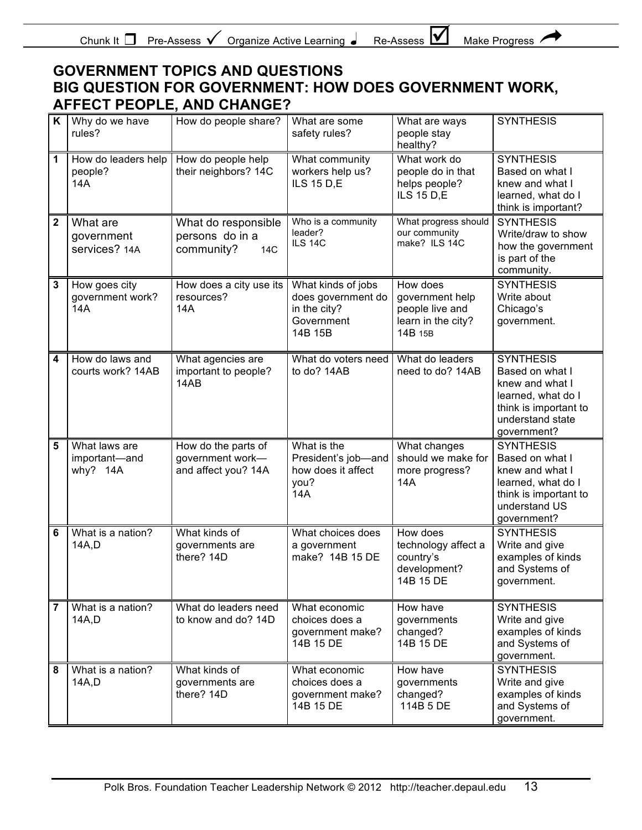| - Chunk It<br>Pre-Assess | Organize Active Learning | --<br>Re-Assess | <b>Make Progress</b> |
|--------------------------|--------------------------|-----------------|----------------------|
|--------------------------|--------------------------|-----------------|----------------------|

 $\mathbf{v}$ 

### **GOVERNMENT TOPICS AND QUESTIONS BIG QUESTION FOR GOVERNMENT: HOW DOES GOVERNMENT WORK, AFFECT PEOPLE, AND CHANGE?**

| K | Why do we have<br>rules?                   | How do people share?                                           | What are some<br>safety rules?                                                    | What are ways<br>people stay<br>healthy?                                        | <b>SYNTHESIS</b>                                                                                                                         |
|---|--------------------------------------------|----------------------------------------------------------------|-----------------------------------------------------------------------------------|---------------------------------------------------------------------------------|------------------------------------------------------------------------------------------------------------------------------------------|
| 1 | How do leaders help<br>people?<br>14A      | How do people help<br>their neighbors? 14C                     | What community<br>workers help us?<br><b>ILS 15 D,E</b>                           | What work do<br>people do in that<br>helps people?<br><b>ILS 15 D,E</b>         | <b>SYNTHESIS</b><br>Based on what I<br>knew and what I<br>learned, what do I<br>think is important?                                      |
| 2 | What are<br>government<br>services? 14A    | What do responsible<br>persons do in a<br>community?<br>14C    | Who is a community<br>leader?<br><b>ILS 14C</b>                                   | What progress should<br>our community<br>make? ILS 14C                          | <b>SYNTHESIS</b><br>Write/draw to show<br>how the government<br>is part of the<br>community.                                             |
| 3 | How goes city<br>government work?<br>14A   | How does a city use its<br>resources?<br>14A                   | What kinds of jobs<br>does government do<br>in the city?<br>Government<br>14B 15B | How does<br>government help<br>people live and<br>learn in the city?<br>14B 15B | <b>SYNTHESIS</b><br>Write about<br>Chicago's<br>government.                                                                              |
| 4 | How do laws and<br>courts work? 14AB       | What agencies are<br>important to people?<br>14AB              | What do voters need<br>to do? 14AB                                                | What do leaders<br>need to do? 14AB                                             | <b>SYNTHESIS</b><br>Based on what I<br>knew and what I<br>learned, what do I<br>think is important to<br>understand state<br>government? |
| 5 | What laws are<br>important-and<br>why? 14A | How do the parts of<br>government work-<br>and affect you? 14A | What is the<br>President's job-and<br>how does it affect<br>you?<br><b>14A</b>    | What changes<br>should we make for<br>more progress?<br>14A                     | <b>SYNTHESIS</b><br>Based on what I<br>knew and what I<br>learned, what do I<br>think is important to<br>understand US<br>government?    |
| 6 | What is a nation?<br>14A,D                 | What kinds of<br>governments are<br>there? 14D                 | What choices does<br>a government<br>make? 14B 15 DE                              | How does<br>technology affect a<br>country's<br>development?<br>14B 15 DE       | <b>SYNTHESIS</b><br>Write and give<br>examples of kinds<br>and Systems of<br>government.                                                 |
| 7 | What is a nation?<br>14A,D                 | What do leaders need<br>to know and do? 14D                    | What economic<br>choices does a<br>government make?<br>14B 15 DE                  | How have<br>governments<br>changed?<br>14B 15 DE                                | <b>SYNTHESIS</b><br>Write and give<br>examples of kinds<br>and Systems of<br>government.                                                 |
| 8 | What is a nation?<br>14A,D                 | What kinds of<br>governments are<br>there? 14D                 | What economic<br>choices does a<br>government make?<br>14B 15 DE                  | How have<br>governments<br>changed?<br>114B 5 DE                                | <b>SYNTHESIS</b><br>Write and give<br>examples of kinds<br>and Systems of<br>government.                                                 |